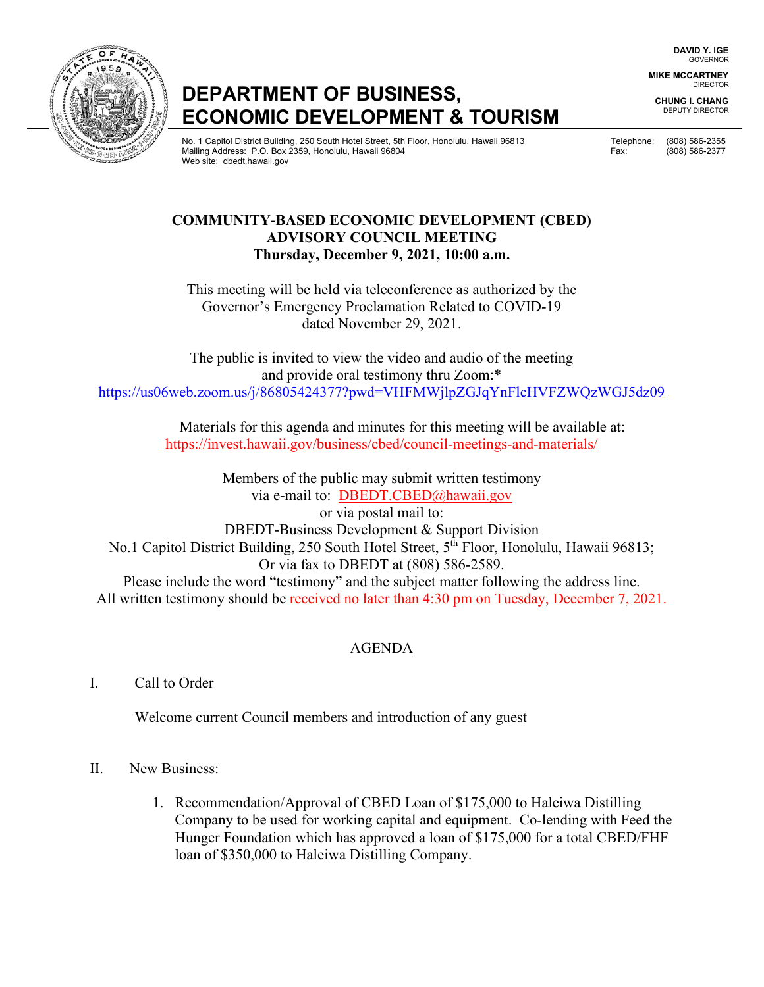**DAVID Y. IGE** GOVERNOR

**MIKE MCCARTNEY** DIRECTOR

**CHUNG I. CHANG** DEPUTY DIRECTOR

# **DEPARTMENT OF BUSINESS, ECONOMIC DEVELOPMENT & TOURISM**

No. 1 Capitol District Building, 250 South Hotel Street, 5th Floor, Honolulu, Hawaii 96813 Telephone: (808) 586-2355 Mailing Address: P.O. Box 2359, Honolulu, Hawaii 96804 Fax: (808) 586-2377 Web site: dbedt.hawaii.gov

### **COMMUNITY-BASED ECONOMIC DEVELOPMENT (CBED) ADVISORY COUNCIL MEETING Thursday, December 9, 2021, 10:00 a.m.**

This meeting will be held via teleconference as authorized by the Governor's Emergency Proclamation Related to COVID-19 dated November 29, 2021.

The public is invited to view the video and audio of the meeting and provide oral testimony thru Zoom:\* https://us06web.zoom.us/j/86805424377?pwd=VHFMWjlpZGJqYnFlcHVFZWQzWGJ5dz09

> Materials for this agenda and minutes for this meeting will be available at: https://invest.hawaii.gov/business/cbed/council-meetings-and-materials/

Members of the public may submit written testimony via e-mail to: DBEDT.CBED@hawaii.gov or via postal mail to: DBEDT-Business Development & Support Division No.1 Capitol District Building, 250 South Hotel Street, 5<sup>th</sup> Floor, Honolulu, Hawaii 96813; Or via fax to DBEDT at (808) 586-2589. Please include the word "testimony" and the subject matter following the address line. All written testimony should be received no later than 4:30 pm on Tuesday, December 7, 2021.

## AGENDA

I. Call to Order

Welcome current Council members and introduction of any guest

## II. New Business:

1. Recommendation/Approval of CBED Loan of \$175,000 to Haleiwa Distilling Company to be used for working capital and equipment. Co-lending with Feed the Hunger Foundation which has approved a loan of \$175,000 for a total CBED/FHF loan of \$350,000 to Haleiwa Distilling Company.